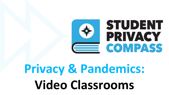

# **Privacy & Pandemics: Video Classrooms**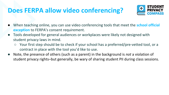#### **Does FERPA allow video conferencing?**



- When teaching online, you can use video conferencing tools that meet the **school official exception** to FERPA's consent requirement.
- Tools developed for general audiences or workplaces were likely not designed with student privacy laws in mind.
	- Your first step should be to check if your school has a preferred/pre-vetted tool, or a contract in place with the tool you'd like to use.
- Note, the presence of others (such as a parent) in the background is *not* a violation of student privacy rights–but generally, be wary of sharing student PII during class sessions.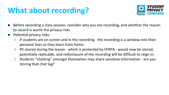### **What about recording?**



- Before recording a class session, consider why you are recording, and whether the reason to record is worth the privacy risks
- Potential privacy risks:
	- $\circ$  If students are on screen and in the recording the recording is a window into their personal lives as they learn from home.
	- PII shared during the lesson which is protected by FERPA would now be stored, potentially replicable, and redisclosure of the recording will be difficult to reign in.
	- Students "chatting" amongst themselves may share sensitive information are you storing that chat log?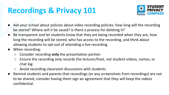# **Recordings & Privacy 101**



- Ask your school about policies about video recording policies: how long will the recording be stored? Where will it be saved? Is there a process for deleting it?
- Be transparent and let students know that they are being recorded when they are, how long the recording will be stored, who has access to the recording, and think about allowing students to opt-out of attending a live recording.
- When recording:
	- Consider recording **only** the presentation portion
	- Ensure the recording only records the lecturer/host, not student videos, names, or chat log
	- Avoid recording classroom discussions with students
- Remind students and parents that recordings (or any screenshots from recordings) are not to be shared; consider having them sign an agreement that they will keep the videos confidential.